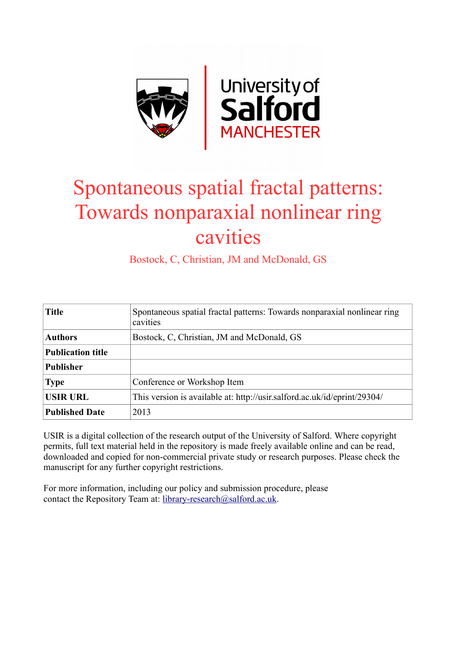

## Spontaneous spatial fractal patterns: Towards nonparaxial nonlinear ring cavities

Bostock, C, Christian, JM and McDonald, GS

| <b>Title</b>             | Spontaneous spatial fractal patterns: Towards nonparaxial nonlinear ring<br>cavities |
|--------------------------|--------------------------------------------------------------------------------------|
| <b>Authors</b>           | Bostock, C, Christian, JM and McDonald, GS                                           |
| <b>Publication title</b> |                                                                                      |
| <b>Publisher</b>         |                                                                                      |
| <b>Type</b>              | Conference or Workshop Item                                                          |
| <b>USIR URL</b>          | This version is available at: http://usir.salford.ac.uk/id/eprint/29304/             |
| <b>Published Date</b>    | 2013                                                                                 |

USIR is a digital collection of the research output of the University of Salford. Where copyright permits, full text material held in the repository is made freely available online and can be read, downloaded and copied for non-commercial private study or research purposes. Please check the manuscript for any further copyright restrictions.

For more information, including our policy and submission procedure, please contact the Repository Team at: [library-research@salford.ac.uk.](mailto:library-research@salford.ac.uk)